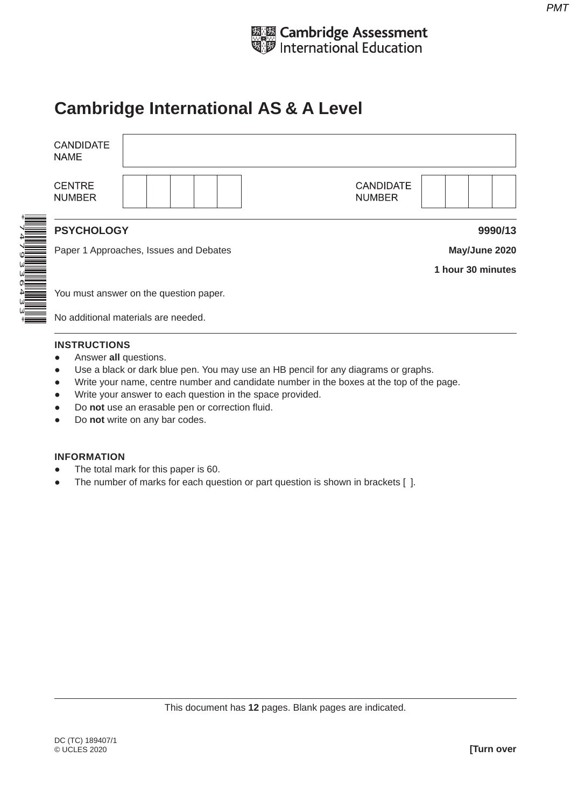

# **Cambridge International AS & A Level**

|                 | <b>CANDIDATE</b><br><b>NAME</b> |                                        |                                   |                   |
|-----------------|---------------------------------|----------------------------------------|-----------------------------------|-------------------|
|                 | <b>CENTRE</b><br><b>NUMBER</b>  |                                        | <b>CANDIDATE</b><br><b>NUMBER</b> |                   |
|                 | <b>PSYCHOLOGY</b>               |                                        |                                   | 9990/13           |
| <b>Example:</b> |                                 | Paper 1 Approaches, Issues and Debates |                                   | May/June 2020     |
|                 |                                 |                                        |                                   | 1 hour 30 minutes |
|                 |                                 | You must answer on the question paper. |                                   |                   |
|                 |                                 | No additional materials are needed.    |                                   |                   |

#### **INSTRUCTIONS**

- Answer **all** questions.
- Use a black or dark blue pen. You may use an HB pencil for any diagrams or graphs.
- Write your name, centre number and candidate number in the boxes at the top of the page.
- Write your answer to each question in the space provided.
- Do **not** use an erasable pen or correction fluid.
- Do **not** write on any bar codes.

#### **INFORMATION**

- The total mark for this paper is 60.
- The number of marks for each question or part question is shown in brackets [ ].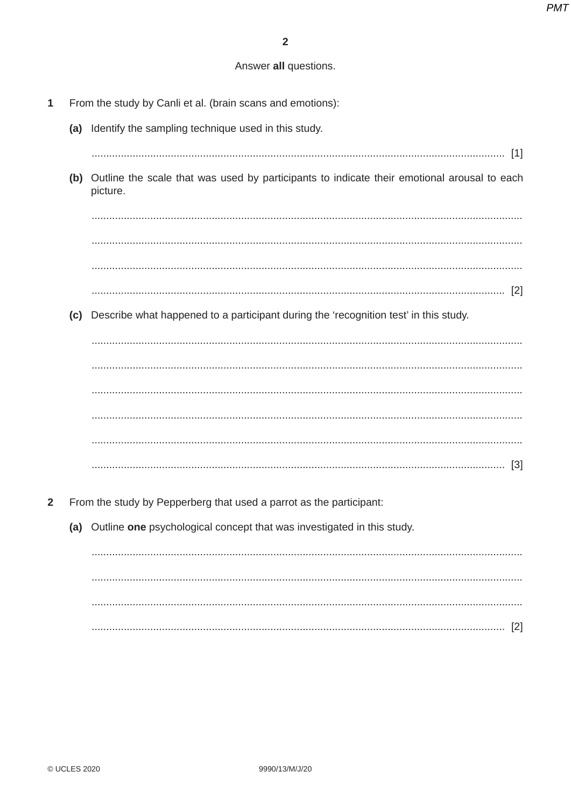## Answer all questions.

- $\overline{1}$ From the study by Canli et al. (brain scans and emotions):
	- (a) Identify the sampling technique used in this study.

(b) Outline the scale that was used by participants to indicate their emotional arousal to each picture.

(c) Describe what happened to a participant during the 'recognition test' in this study.

- $\overline{2}$ From the study by Pepperberg that used a parrot as the participant:
	- (a) Outline one psychological concept that was investigated in this study.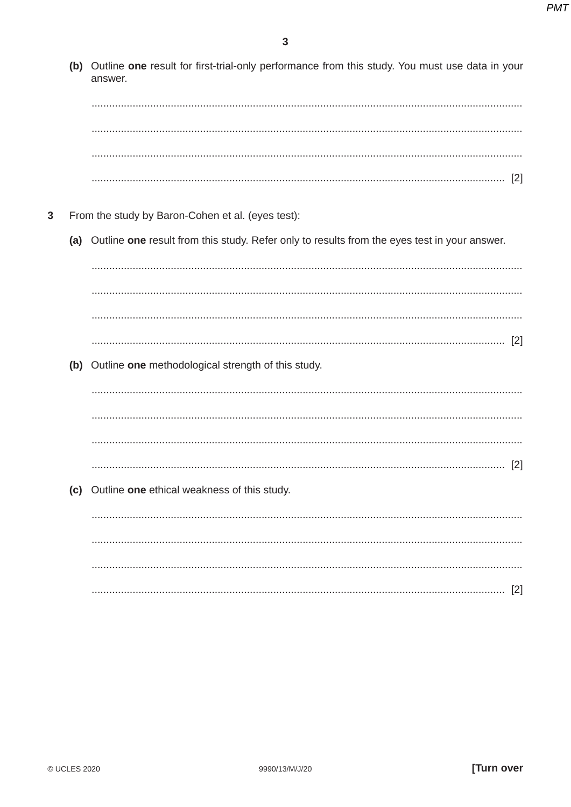|     | (b) Outline one result for first-trial-only performance from this study. You must use data in your<br>answer. |       |
|-----|---------------------------------------------------------------------------------------------------------------|-------|
|     |                                                                                                               |       |
|     |                                                                                                               |       |
|     |                                                                                                               |       |
|     |                                                                                                               |       |
|     | From the study by Baron-Cohen et al. (eyes test):                                                             |       |
|     | (a) Outline one result from this study. Refer only to results from the eyes test in your answer.              |       |
|     |                                                                                                               |       |
|     |                                                                                                               |       |
|     |                                                                                                               |       |
|     |                                                                                                               | [2]   |
| (b) | Outline one methodological strength of this study.                                                            |       |
|     |                                                                                                               |       |
|     |                                                                                                               |       |
|     |                                                                                                               |       |
|     |                                                                                                               | $[2]$ |
|     | (c) Outline one ethical weakness of this study.                                                               |       |
|     |                                                                                                               |       |
|     |                                                                                                               |       |
|     |                                                                                                               |       |
|     |                                                                                                               | $[2]$ |

 $\overline{3}$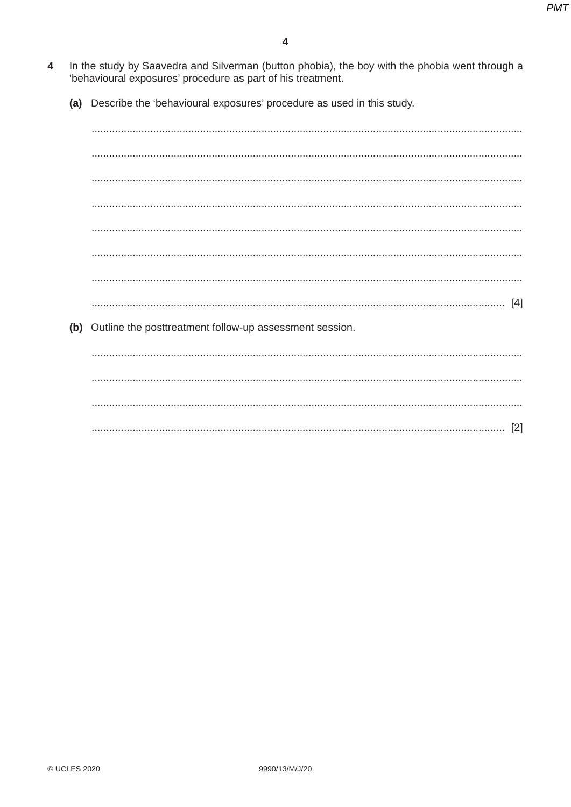- $\overline{\mathbf{A}}$ In the study by Saavedra and Silverman (button phobia), the boy with the phobia went through a 'behavioural exposures' procedure as part of his treatment.
	- (a) Describe the 'behavioural exposures' procedure as used in this study.

(b) Outline the posttreatment follow-up assessment session.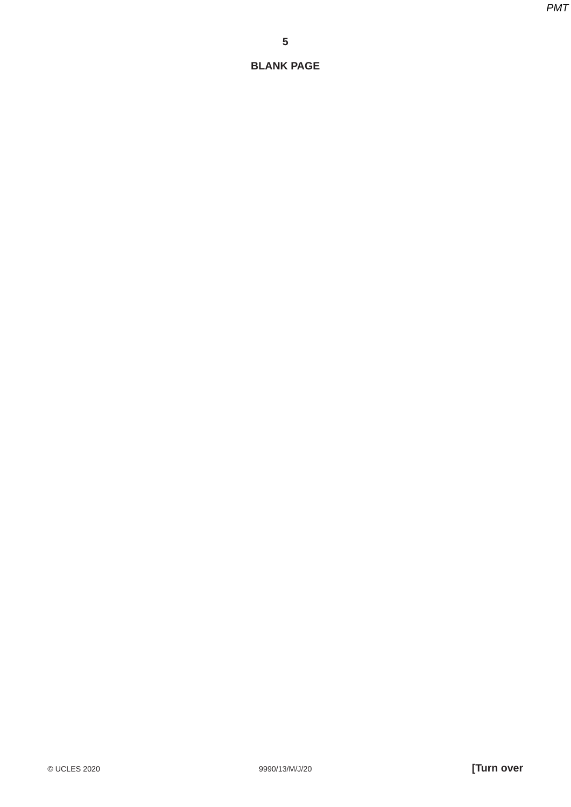## $\overline{\mathbf{5}}$

## **BLANK PAGE**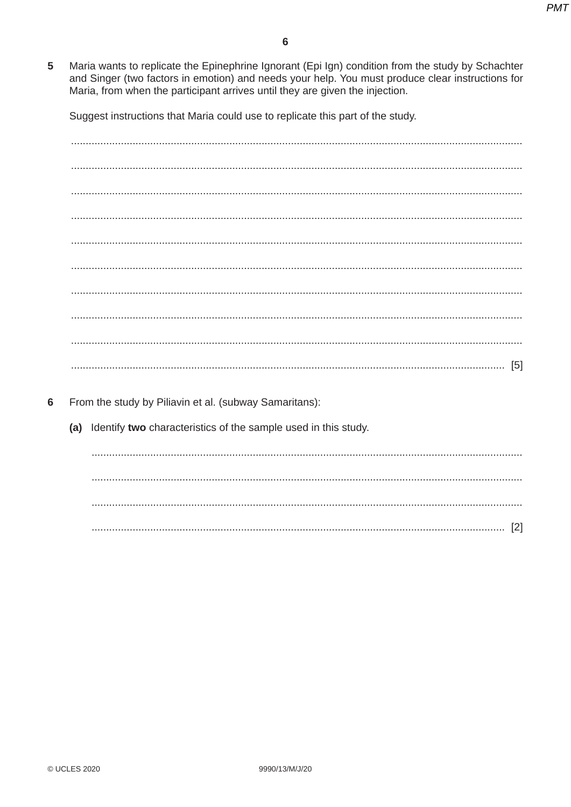5 Maria wants to replicate the Epinephrine Ignorant (Epi Ign) condition from the study by Schachter and Singer (two factors in emotion) and needs your help. You must produce clear instructions for Maria, from when the participant arrives until they are given the injection.

Suggest instructions that Maria could use to replicate this part of the study.

- 6 From the study by Piliavin et al. (subway Samaritans):
	- (a) Identify two characteristics of the sample used in this study.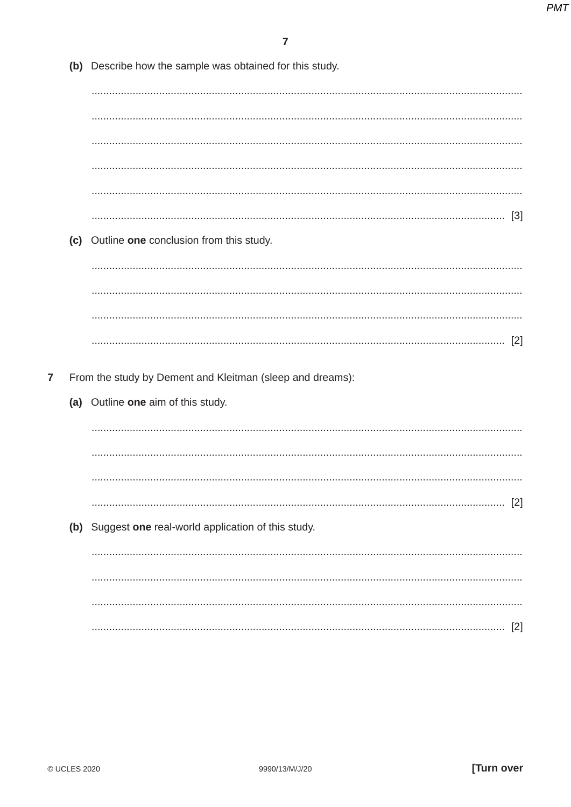|                |     | (b) Describe how the sample was obtained for this study.       |
|----------------|-----|----------------------------------------------------------------|
|                |     |                                                                |
|                |     |                                                                |
|                |     |                                                                |
|                |     |                                                                |
|                | (c) | Outline one conclusion from this study.                        |
|                |     |                                                                |
|                |     |                                                                |
|                |     | [2]                                                            |
| $\overline{7}$ |     | From the study by Dement and Kleitman (sleep and dreams):      |
|                |     | (a) Outline one aim of this study.                             |
|                |     |                                                                |
|                |     |                                                                |
|                |     | $[2]$<br>(b) Suggest one real-world application of this study. |
|                |     |                                                                |
|                |     | $[2]$                                                          |
|                |     |                                                                |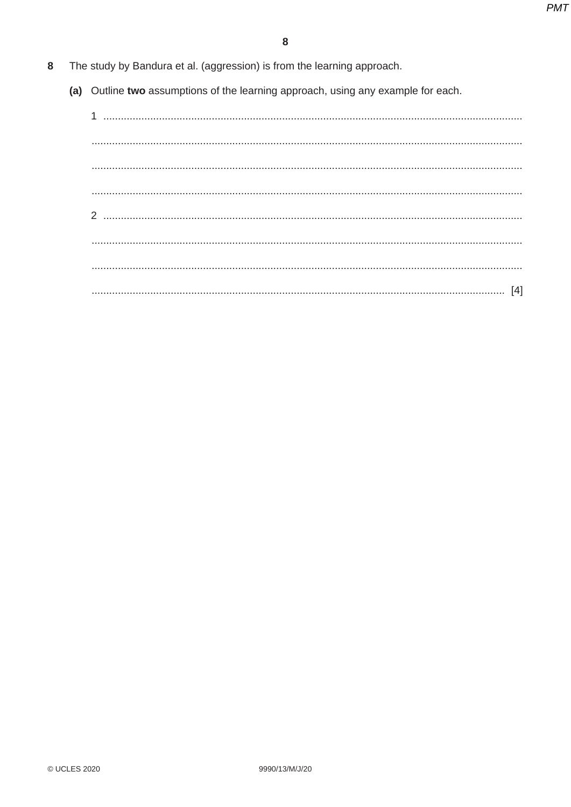- 8 The study by Bandura et al. (aggression) is from the learning approach.
	- (a) Outline two assumptions of the learning approach, using any example for each.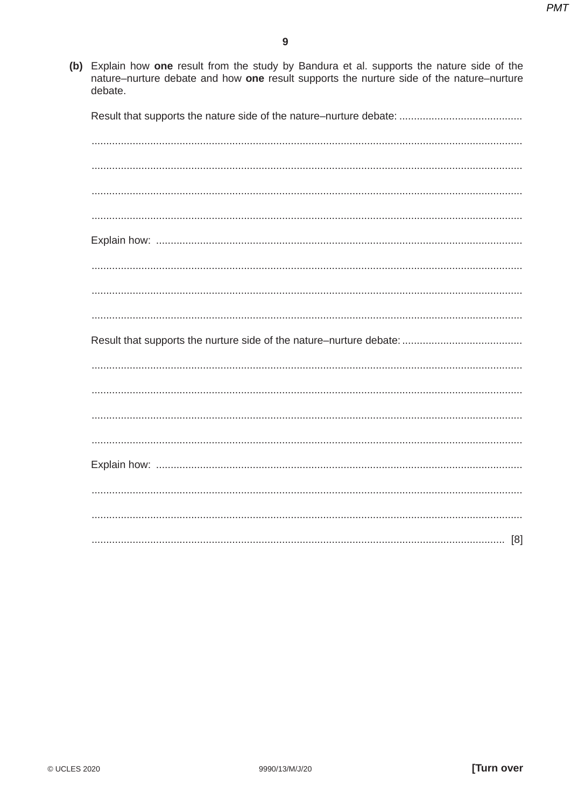(b) Explain how one result from the study by Bandura et al. supports the nature side of the nature-nurture debate and how one result supports the nurture side of the nature-nurture debate.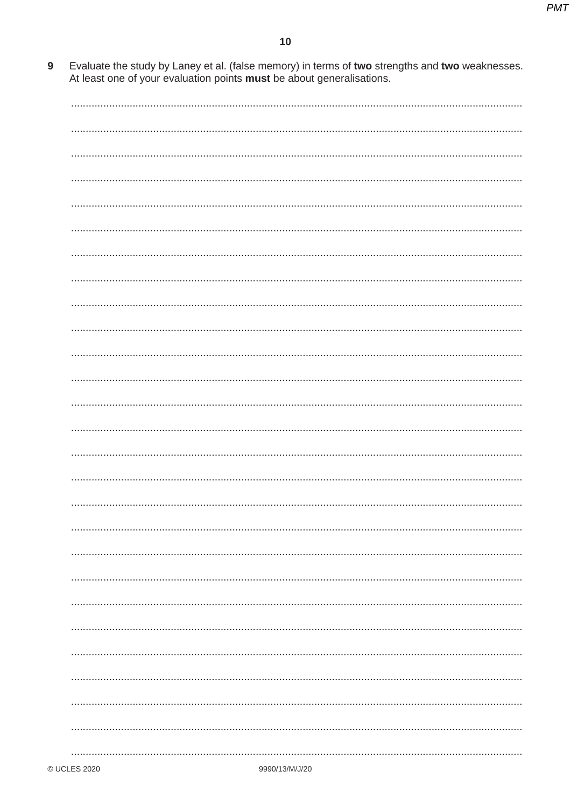9 Evaluate the study by Laney et al. (false memory) in terms of two strengths and two weaknesses. At least one of your evaluation points must be about generalisations.

9990/13/M/J/20